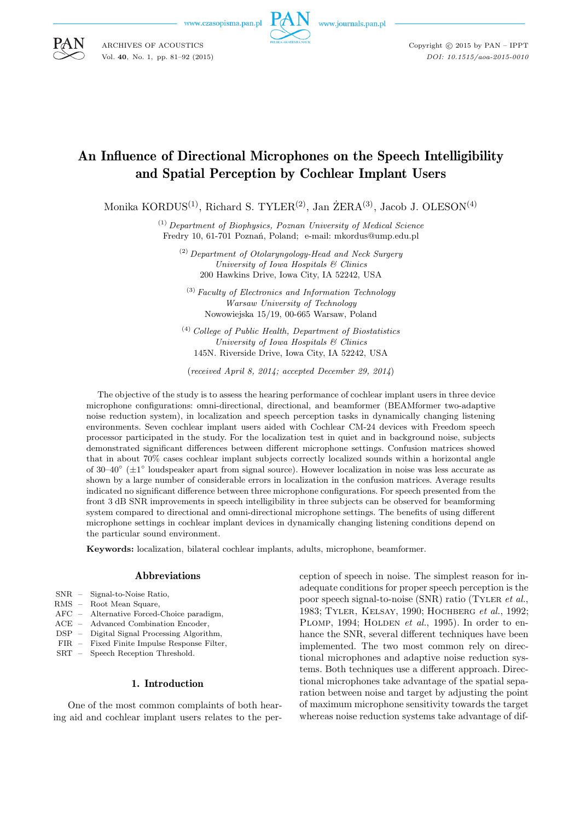www.czasopisma.pan.pl

ARCHIVES OF ACOUSTICS Vol. **40**, No. 1, pp. 81–92 (2015)



www.journals.pan.pl

Copyright  $\odot$  2015 by PAN - IPPT *DOI: 10.1515/aoa-2015-0010*

# An Influence of Directional Microphones on the Speech Intelligibility and Spatial Perception by Cochlear Implant Users

Monika KORDUS<sup>(1)</sup>, Richard S. TYLER<sup>(2)</sup>, Jan ŻERA<sup>(3)</sup>, Jacob J. OLESON<sup>(4)</sup>

(1) *Department of Biophysics, Poznan University of Medical Science* Fredry 10, 61-701 Poznań, Poland; e-mail: mkordus@ump.edu.pl

(2) *Department of Otolaryngology-Head and Neck Surgery University of Iowa Hospitals & Clinics* 200 Hawkins Drive, Iowa City, IA 52242, USA

(3) *Faculty of Electronics and Information Technology Warsaw University of Technology* Nowowiejska 15/19, 00-665 Warsaw, Poland

(4) *College of Public Health, Department of Biostatistics University of Iowa Hospitals & Clinics* 145N. Riverside Drive, Iowa City, IA 52242, USA

(*received April 8, 2014; accepted December 29, 2014*)

The objective of the study is to assess the hearing performance of cochlear implant users in three device microphone configurations: omni-directional, directional, and beamformer (BEAMformer two-adaptive noise reduction system), in localization and speech perception tasks in dynamically changing listening environments. Seven cochlear implant users aided with Cochlear CM-24 devices with Freedom speech processor participated in the study. For the localization test in quiet and in background noise, subjects demonstrated significant differences between different microphone settings. Confusion matrices showed that in about 70% cases cochlear implant subjects correctly localized sounds within a horizontal angle of 30–40◦ (±1 ◦ loudspeaker apart from signal source). However localization in noise was less accurate as shown by a large number of considerable errors in localization in the confusion matrices. Average results indicated no significant difference between three microphone configurations. For speech presented from the front 3 dB SNR improvements in speech intelligibility in three subjects can be observed for beamforming system compared to directional and omni-directional microphone settings. The benefits of using different microphone settings in cochlear implant devices in dynamically changing listening conditions depend on the particular sound environment.

**Keywords:** localization, bilateral cochlear implants, adults, microphone, beamformer.

#### Abbreviations

- SNR Signal-to-Noise Ratio,
- RMS Root Mean Square,
- AFC Alternative Forced-Choice paradigm,
- ACE Advanced Combination Encoder,
- DSP Digital Signal Processing Algorithm,
- FIR Fixed Finite Impulse Response Filter,
- SRT Speech Reception Threshold.

### 1. Introduction

One of the most common complaints of both hearing aid and cochlear implant users relates to the perception of speech in noise. The simplest reason for inadequate conditions for proper speech perception is the poor speech signal-to-noise (SNR) ratio (Tyler *et al.*, 1983; Tyler, Kelsay, 1990; Hochberg *et al.*, 1992; PLOMP, 1994; HOLDEN *et al.*, 1995). In order to enhance the SNR, several different techniques have been implemented. The two most common rely on directional microphones and adaptive noise reduction systems. Both techniques use a different approach. Directional microphones take advantage of the spatial separation between noise and target by adjusting the point of maximum microphone sensitivity towards the target whereas noise reduction systems take advantage of dif-

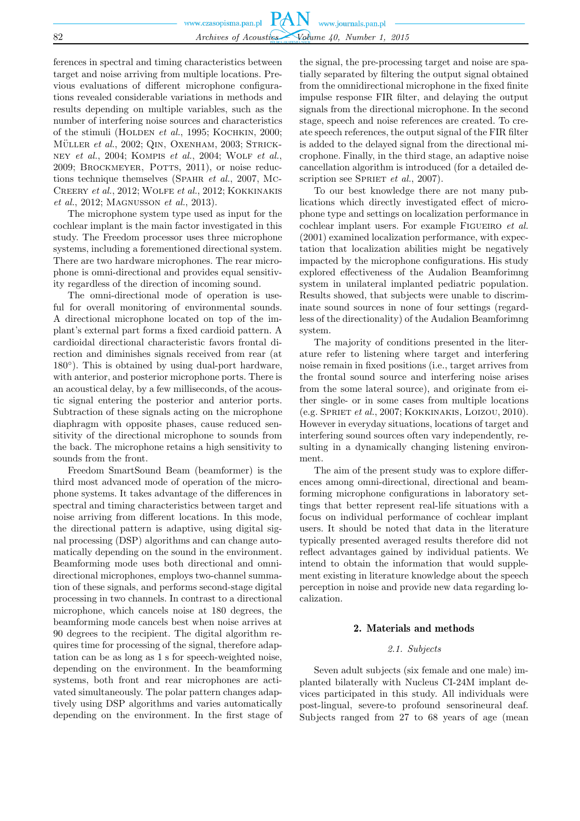|    | www.czasopisma.pan.pl $PAN$ www.journals.pan.pl |  |
|----|-------------------------------------------------|--|
|    |                                                 |  |
|    |                                                 |  |
| 82 | Archives of Acoustics Volume 40, Number 1, 2015 |  |
|    |                                                 |  |

ferences in spectral and timing characteristics between target and noise arriving from multiple locations. Previous evaluations of different microphone configurations revealed considerable variations in methods and results depending on multiple variables, such as the number of interfering noise sources and characteristics of the stimuli (HOLDEN *et al.*, 1995; KOCHKIN, 2000; MÜLLER *et al.*, 2002; QIN, OXENHAM, 2003; STRICKney *et al.*, 2004; Kompis *et al.*, 2004; Wolf *et al.*, 2009; BROCKMEYER, POTTS, 2011), or noise reductions technique themselves (SPAHR *et al.*, 2007, Mc-Creery *et al.*, 2012; Wolfe *et al.*, 2012; Kokkinakis *et al.*, 2012; Magnusson *et al.*, 2013).

The microphone system type used as input for the cochlear implant is the main factor investigated in this study. The Freedom processor uses three microphone systems, including a forementioned directional system. There are two hardware microphones. The rear microphone is omni-directional and provides equal sensitivity regardless of the direction of incoming sound.

The omni-directional mode of operation is useful for overall monitoring of environmental sounds. A directional microphone located on top of the implant's external part forms a fixed cardioid pattern. A cardioidal directional characteristic favors frontal direction and diminishes signals received from rear (at 180<sup>°</sup>). This is obtained by using dual-port hardware, with anterior, and posterior microphone ports. There is an acoustical delay, by a few milliseconds, of the acoustic signal entering the posterior and anterior ports. Subtraction of these signals acting on the microphone diaphragm with opposite phases, cause reduced sensitivity of the directional microphone to sounds from the back. The microphone retains a high sensitivity to sounds from the front.

Freedom SmartSound Beam (beamformer) is the third most advanced mode of operation of the microphone systems. It takes advantage of the differences in spectral and timing characteristics between target and noise arriving from different locations. In this mode, the directional pattern is adaptive, using digital signal processing (DSP) algorithms and can change automatically depending on the sound in the environment. Beamforming mode uses both directional and omnidirectional microphones, employs two-channel summation of these signals, and performs second-stage digital processing in two channels. In contrast to a directional microphone, which cancels noise at 180 degrees, the beamforming mode cancels best when noise arrives at 90 degrees to the recipient. The digital algorithm requires time for processing of the signal, therefore adaptation can be as long as 1 s for speech-weighted noise, depending on the environment. In the beamforming systems, both front and rear microphones are activated simultaneously. The polar pattern changes adaptively using DSP algorithms and varies automatically depending on the environment. In the first stage of the signal, the pre-processing target and noise are spatially separated by filtering the output signal obtained from the omnidirectional microphone in the fixed finite impulse response FIR filter, and delaying the output signals from the directional microphone. In the second stage, speech and noise references are created. To create speech references, the output signal of the FIR filter is added to the delayed signal from the directional microphone. Finally, in the third stage, an adaptive noise cancellation algorithm is introduced (for a detailed description see SPRIET *et al.*, 2007).

To our best knowledge there are not many publications which directly investigated effect of microphone type and settings on localization performance in cochlear implant users. For example FIGUEIRO *et al.* (2001) examined localization performance, with expectation that localization abilities might be negatively impacted by the microphone configurations. His study explored effectiveness of the Audalion Beamforimng system in unilateral implanted pediatric population. Results showed, that subjects were unable to discriminate sound sources in none of four settings (regardless of the directionality) of the Audalion Beamforimng system.

The majority of conditions presented in the literature refer to listening where target and interfering noise remain in fixed positions (i.e., target arrives from the frontal sound source and interfering noise arises from the some lateral source), and originate from either single- or in some cases from multiple locations (e.g. Spriet *et al.*, 2007; Kokkinakis, Loizou, 2010). However in everyday situations, locations of target and interfering sound sources often vary independently, resulting in a dynamically changing listening environment.

The aim of the present study was to explore differences among omni-directional, directional and beamforming microphone configurations in laboratory settings that better represent real-life situations with a focus on individual performance of cochlear implant users. It should be noted that data in the literature typically presented averaged results therefore did not reflect advantages gained by individual patients. We intend to obtain the information that would supplement existing in literature knowledge about the speech perception in noise and provide new data regarding localization.

#### 2. Materials and methods

# *2.1. Subjects*

Seven adult subjects (six female and one male) implanted bilaterally with Nucleus CI-24M implant devices participated in this study. All individuals were post-lingual, severe-to profound sensorineural deaf. Subjects ranged from 27 to 68 years of age (mean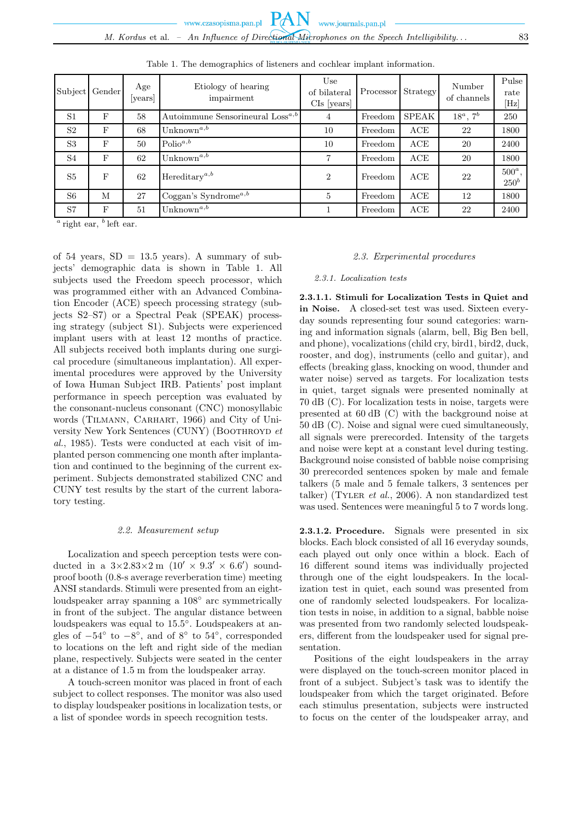| Subject Gender                   |         | Age<br>years | Etiology of hearing<br>impairment             | Use<br>of bilateral<br>$CIs$ [years] | Processor | Strategy     | Number<br>of channels | Pulse<br>rate<br>[Hz] |
|----------------------------------|---------|--------------|-----------------------------------------------|--------------------------------------|-----------|--------------|-----------------------|-----------------------|
| S <sub>1</sub>                   | F       | 58           | Autoimmune Sensorineural $\text{Loss}^{a,b}$  | 4                                    | Freedom   | <b>SPEAK</b> | $18^a, 7^b$           | 250                   |
| S <sub>2</sub>                   | F       | 68           | Unknown <sup>a,b</sup>                        | 10                                   | Freedom   | ACE          | 22                    | 1800                  |
| S <sub>3</sub>                   | F       | 50           | $Polio^{a,b}$                                 | 10                                   | Freedom   | ${ACE}$      | 20                    | 2400                  |
| S <sub>4</sub>                   | F       | 62           | Unknown <sup><math>a,b</math></sup>           |                                      | Freedom   | ACE          | 20                    | 1800                  |
| S <sub>5</sub>                   | F       | 62           | Hereditary <sup><math>a,b</math></sup>        | $\overline{2}$                       | Freedom   | ACE          | 22                    | $500^a$ ,<br>$250^b$  |
| S6                               | М       | 27           | Coggan's Syndrome <sup><math>a,b</math></sup> | 5                                    | Freedom   | ${ACE}$      | 12                    | 1800                  |
| S7                               | F       | 51           | Unknown <sup><math>a,b</math></sup>           |                                      | Freedom   | ACE          | 22                    | 2400                  |
| $\sigma$ $\cdot$ $\cdot$ $\cdot$ | $h = e$ |              |                                               |                                      |           |              |                       |                       |

Table 1. The demographics of listeners and cochlear implant information.

 $a$  right ear,  $b$  left ear.

of 54 years,  $SD = 13.5$  years). A summary of subjects' demographic data is shown in Table 1. All subjects used the Freedom speech processor, which was programmed either with an Advanced Combination Encoder (ACE) speech processing strategy (subjects S2–S7) or a Spectral Peak (SPEAK) processing strategy (subject S1). Subjects were experienced implant users with at least 12 months of practice. All subjects received both implants during one surgical procedure (simultaneous implantation). All experimental procedures were approved by the University of Iowa Human Subject IRB. Patients' post implant performance in speech perception was evaluated by the consonant-nucleus consonant (CNC) monosyllabic words (TILMANN, CARHART, 1966) and City of University New York Sentences (CUNY) (Boothroyd *et al.*, 1985). Tests were conducted at each visit of implanted person commencing one month after implantation and continued to the beginning of the current experiment. Subjects demonstrated stabilized CNC and CUNY test results by the start of the current laboratory testing.

### *2.2. Measurement setup*

Localization and speech perception tests were conducted in a  $3 \times 2.83 \times 2$  m  $(10' \times 9.3' \times 6.6')$  soundproof booth (0.8-s average reverberation time) meeting ANSI standards. Stimuli were presented from an eightloudspeaker array spanning a 108◦ arc symmetrically in front of the subject. The angular distance between loudspeakers was equal to 15.5◦ . Loudspeakers at angles of  $-54°$  to  $-8°$ , and of  $8°$  to  $54°$ , corresponded to locations on the left and right side of the median plane, respectively. Subjects were seated in the center at a distance of 1.5 m from the loudspeaker array.

A touch-screen monitor was placed in front of each subject to collect responses. The monitor was also used to display loudspeaker positions in localization tests, or a list of spondee words in speech recognition tests.

#### *2.3. Experimental procedures*

#### *2.3.1. Localization tests*

**2.3.1.1. Stimuli for Localization Tests in Quiet and in Noise.** A closed-set test was used. Sixteen everyday sounds representing four sound categories: warning and information signals (alarm, bell, Big Ben bell, and phone), vocalizations (child cry, bird1, bird2, duck, rooster, and dog), instruments (cello and guitar), and effects (breaking glass, knocking on wood, thunder and water noise) served as targets. For localization tests in quiet, target signals were presented nominally at 70 dB (C). For localization tests in noise, targets were presented at 60 dB (C) with the background noise at 50 dB (C). Noise and signal were cued simultaneously, all signals were prerecorded. Intensity of the targets and noise were kept at a constant level during testing. Background noise consisted of babble noise comprising 30 prerecorded sentences spoken by male and female talkers (5 male and 5 female talkers, 3 sentences per talker) (Tyler *et al.*, 2006). A non standardized test was used. Sentences were meaningful 5 to 7 words long.

**2.3.1.2. Procedure.** Signals were presented in six blocks. Each block consisted of all 16 everyday sounds, each played out only once within a block. Each of 16 different sound items was individually projected through one of the eight loudspeakers. In the localization test in quiet, each sound was presented from one of randomly selected loudspeakers. For localization tests in noise, in addition to a signal, babble noise was presented from two randomly selected loudspeakers, different from the loudspeaker used for signal presentation.

Positions of the eight loudspeakers in the array were displayed on the touch-screen monitor placed in front of a subject. Subject's task was to identify the loudspeaker from which the target originated. Before each stimulus presentation, subjects were instructed to focus on the center of the loudspeaker array, and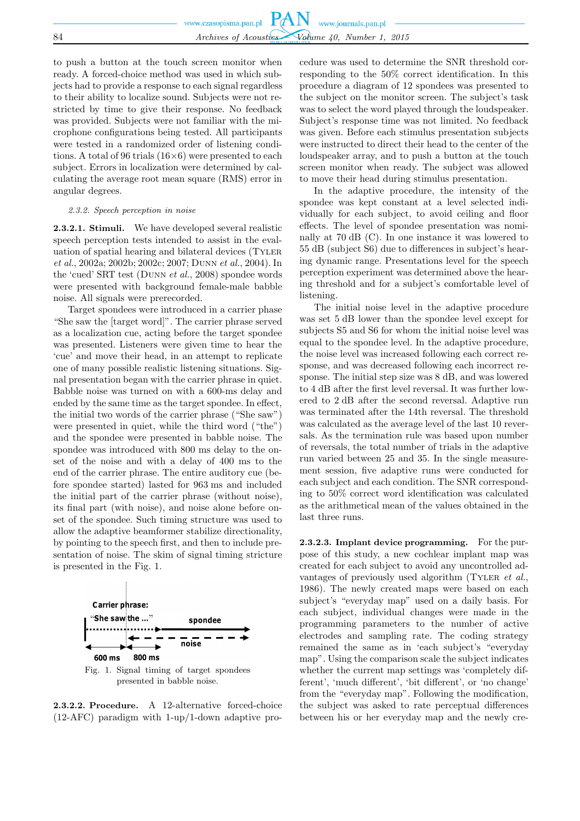|    | www.czasopisma.pan.pl $PAN$ www.journals.pan.pl |  |
|----|-------------------------------------------------|--|
|    |                                                 |  |
|    |                                                 |  |
| 84 | Archives of Acoustics Volume 40, Number 1, 2015 |  |

to push a button at the touch screen monitor when ready. A forced-choice method was used in which subjects had to provide a response to each signal regardless to their ability to localize sound. Subjects were not restricted by time to give their response. No feedback was provided. Subjects were not familiar with the microphone configurations being tested. All participants were tested in a randomized order of listening conditions. A total of 96 trials  $(16\times6)$  were presented to each subject. Errors in localization were determined by calculating the average root mean square (RMS) error in angular degrees.

### *2.3.2. Speech perception in noise*

**2.3.2.1. Stimuli.** We have developed several realistic speech perception tests intended to assist in the evaluation of spatial hearing and bilateral devices (Tyler *et al.*, 2002a; 2002b; 2002c; 2007; Dunn *et al.*, 2004). In the 'cued' SRT test (Dunn *et al.*, 2008) spondee words were presented with background female-male babble noise. All signals were prerecorded.

Target spondees were introduced in a carrier phase "She saw the [target word]". The carrier phrase served as a localization cue, acting before the target spondee was presented. Listeners were given time to hear the 'cue' and move their head, in an attempt to replicate one of many possible realistic listening situations. Signal presentation began with the carrier phrase in quiet. Babble noise was turned on with a 600-ms delay and ended by the same time as the target spondee. In effect, the initial two words of the carrier phrase ("She saw") were presented in quiet, while the third word ("the") and the spondee were presented in babble noise. The spondee was introduced with 800 ms delay to the onset of the noise and with a delay of 400 ms to the end of the carrier phrase. The entire auditory cue (before spondee started) lasted for 963 ms and included the initial part of the carrier phrase (without noise), its final part (with noise), and noise alone before onset of the spondee. Such timing structure was used to allow the adaptive beamformer stabilize directionality, by pointing to the speech first, and then to include presentation of noise. The skim of signal timing stricture is presented in the Fig. 1.



Fig. 1. Signal timing of target spondees presented in babble noise.

**2.3.2.2. Procedure.** A 12-alternative forced-choice (12-AFC) paradigm with 1-up/1-down adaptive procedure was used to determine the SNR threshold corresponding to the 50% correct identification. In this procedure a diagram of 12 spondees was presented to the subject on the monitor screen. The subject's task was to select the word played through the loudspeaker. Subject's response time was not limited. No feedback was given. Before each stimulus presentation subjects were instructed to direct their head to the center of the loudspeaker array, and to push a button at the touch screen monitor when ready. The subject was allowed to move their head during stimulus presentation.

In the adaptive procedure, the intensity of the spondee was kept constant at a level selected individually for each subject, to avoid ceiling and floor effects. The level of spondee presentation was nominally at 70 dB (C). In one instance it was lowered to 55 dB (subject S6) due to differences in subject's hearing dynamic range. Presentations level for the speech perception experiment was determined above the hearing threshold and for a subject's comfortable level of listening.

The initial noise level in the adaptive procedure was set 5 dB lower than the spondee level except for subjects S5 and S6 for whom the initial noise level was equal to the spondee level. In the adaptive procedure, the noise level was increased following each correct response, and was decreased following each incorrect response. The initial step size was 8 dB, and was lowered to 4 dB after the first level reversal. It was further lowered to 2 dB after the second reversal. Adaptive run was terminated after the 14th reversal. The threshold was calculated as the average level of the last 10 reversals. As the termination rule was based upon number of reversals, the total number of trials in the adaptive run varied between 25 and 35. In the single measurement session, five adaptive runs were conducted for each subject and each condition. The SNR corresponding to 50% correct word identification was calculated as the arithmetical mean of the values obtained in the last three runs.

**2.3.2.3. Implant device programming.** For the purpose of this study, a new cochlear implant map was created for each subject to avoid any uncontrolled advantages of previously used algorithm (Tyler *et al.*, 1986). The newly created maps were based on each subject's "everyday map" used on a daily basis. For each subject, individual changes were made in the programming parameters to the number of active electrodes and sampling rate. The coding strategy remained the same as in 'each subject's "everyday map". Using the comparison scale the subject indicates whether the current map settings was 'completely different', 'much different', 'bit different', or 'no change' from the "everyday map". Following the modification, the subject was asked to rate perceptual differences between his or her everyday map and the newly cre-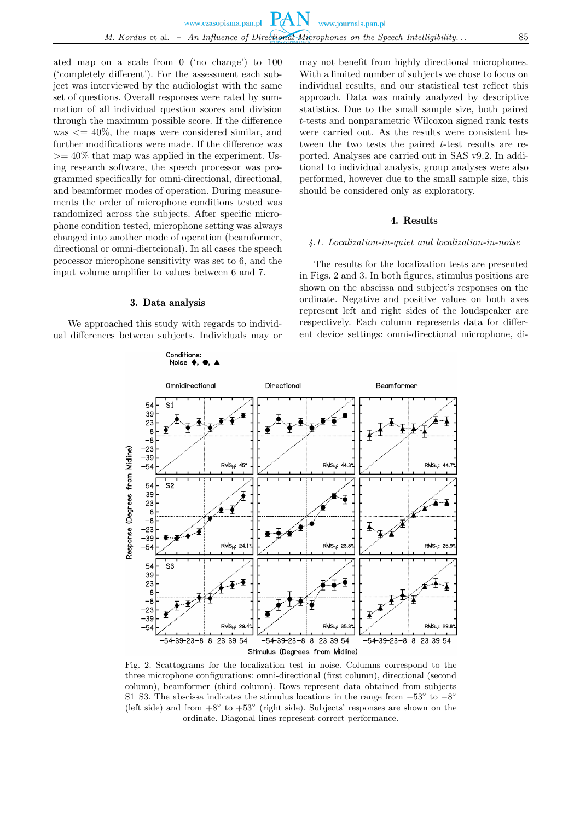ated map on a scale from 0 ('no change') to 100 ('completely different'). For the assessment each subject was interviewed by the audiologist with the same set of questions. Overall responses were rated by summation of all individual question scores and division through the maximum possible score. If the difference was  $\epsilon = 40\%$ , the maps were considered similar, and further modifications were made. If the difference was  $>= 40\%$  that map was applied in the experiment. Using research software, the speech processor was programmed specifically for omni-directional, directional, and beamformer modes of operation. During measurements the order of microphone conditions tested was randomized across the subjects. After specific microphone condition tested, microphone setting was always changed into another mode of operation (beamformer, directional or omni-diertcional). In all cases the speech processor microphone sensitivity was set to 6, and the input volume amplifier to values between 6 and 7.

#### 3. Data analysis

We approached this study with regards to individual differences between subjects. Individuals may or

 $\blacktriangle$ 

may not benefit from highly directional microphones. With a limited number of subjects we chose to focus on individual results, and our statistical test reflect this approach. Data was mainly analyzed by descriptive statistics. Due to the small sample size, both paired t-tests and nonparametric Wilcoxon signed rank tests were carried out. As the results were consistent between the two tests the paired  $t$ -test results are reported. Analyses are carried out in SAS v9.2. In additional to individual analysis, group analyses were also performed, however due to the small sample size, this should be considered only as exploratory.

# 4. Results

### *4.1. Localization-in-quiet and localization-in-noise*

The results for the localization tests are presented in Figs. 2 and 3. In both figures, stimulus positions are shown on the abscissa and subject's responses on the ordinate. Negative and positive values on both axes represent left and right sides of the loudspeaker arc respectively. Each column represents data for different device settings: omni-directional microphone, di-



Fig. 2. Scattograms for the localization test in noise. Columns correspond to the three microphone configurations: omni-directional (first column), directional (second column), beamformer (third column). Rows represent data obtained from subjects S1–S3. The abscissa indicates the stimulus locations in the range from  $-53^\circ$  to  $-8^\circ$ (left side) and from  $+8°$  to  $+53°$  (right side). Subjects' responses are shown on the ordinate. Diagonal lines represent correct performance.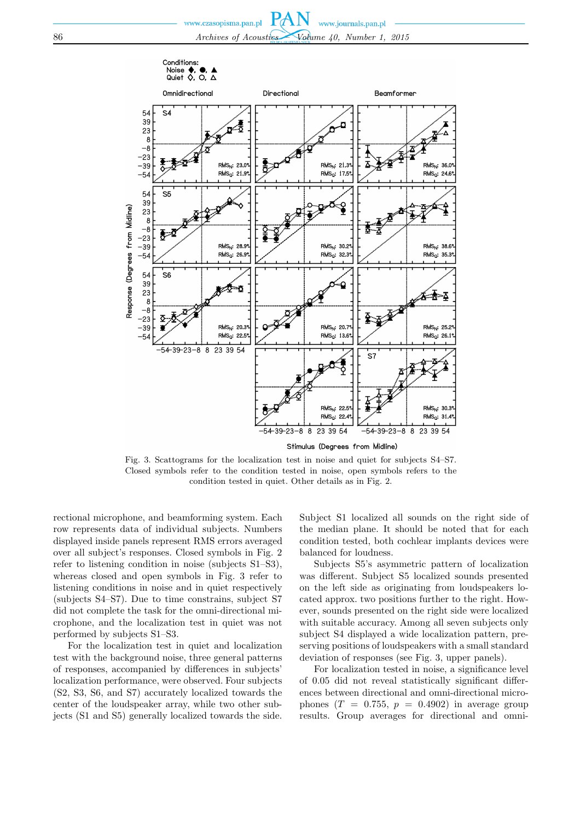

Fig. 3. Scattograms for the localization test in noise and quiet for subjects S4–S7. Closed symbols refer to the condition tested in noise, open symbols refers to the condition tested in quiet. Other details as in Fig. 2.

rectional microphone, and beamforming system. Each row represents data of individual subjects. Numbers displayed inside panels represent RMS errors averaged over all subject's responses. Closed symbols in Fig. 2 refer to listening condition in noise (subjects S1–S3), whereas closed and open symbols in Fig. 3 refer to listening conditions in noise and in quiet respectively (subjects S4–S7). Due to time constrains, subject S7 did not complete the task for the omni-directional microphone, and the localization test in quiet was not performed by subjects S1–S3.

For the localization test in quiet and localization test with the background noise, three general patterns of responses, accompanied by differences in subjects' localization performance, were observed. Four subjects (S2, S3, S6, and S7) accurately localized towards the center of the loudspeaker array, while two other subjects (S1 and S5) generally localized towards the side. Subject S1 localized all sounds on the right side of the median plane. It should be noted that for each condition tested, both cochlear implants devices were balanced for loudness.

Subjects S5's asymmetric pattern of localization was different. Subject S5 localized sounds presented on the left side as originating from loudspeakers located approx. two positions further to the right. However, sounds presented on the right side were localized with suitable accuracy. Among all seven subjects only subject S4 displayed a wide localization pattern, preserving positions of loudspeakers with a small standard deviation of responses (see Fig. 3, upper panels).

For localization tested in noise, a significance level of 0.05 did not reveal statistically significant differences between directional and omni-directional microphones  $(T = 0.755, p = 0.4902)$  in average group results. Group averages for directional and omni-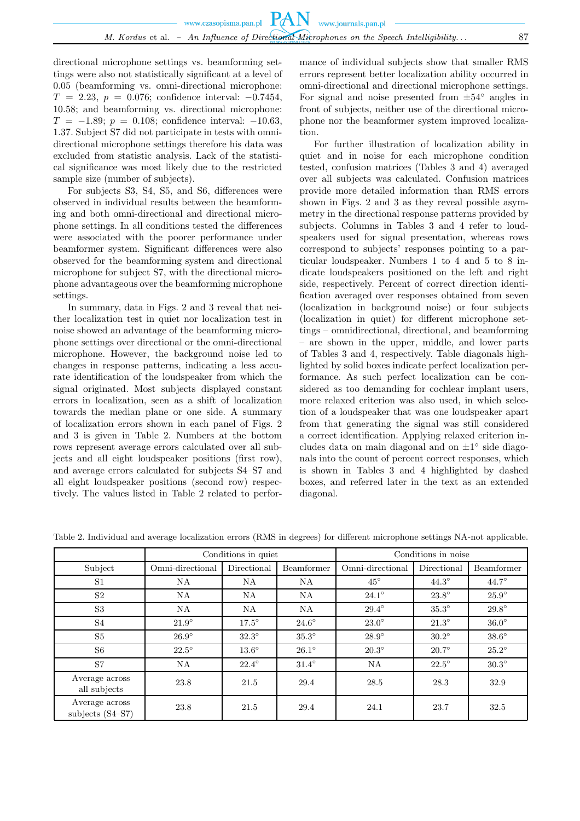directional microphone settings vs. beamforming settings were also not statistically significant at a level of 0.05 (beamforming vs. omni-directional microphone:  $T = 2.23, p = 0.076$ ; confidence interval:  $-0.7454$ , 10.58; and beamforming vs. directional microphone:  $T = -1.89$ ;  $p = 0.108$ ; confidence interval:  $-10.63$ , 1.37. Subject S7 did not participate in tests with omnidirectional microphone settings therefore his data was excluded from statistic analysis. Lack of the statistical significance was most likely due to the restricted sample size (number of subjects).

For subjects S3, S4, S5, and S6, differences were observed in individual results between the beamforming and both omni-directional and directional microphone settings. In all conditions tested the differences were associated with the poorer performance under beamformer system. Significant differences were also observed for the beamforming system and directional microphone for subject S7, with the directional microphone advantageous over the beamforming microphone settings.

In summary, data in Figs. 2 and 3 reveal that neither localization test in quiet nor localization test in noise showed an advantage of the beamforming microphone settings over directional or the omni-directional microphone. However, the background noise led to changes in response patterns, indicating a less accurate identification of the loudspeaker from which the signal originated. Most subjects displayed constant errors in localization, seen as a shift of localization towards the median plane or one side. A summary of localization errors shown in each panel of Figs. 2 and 3 is given in Table 2. Numbers at the bottom rows represent average errors calculated over all subjects and all eight loudspeaker positions (first row), and average errors calculated for subjects S4–S7 and all eight loudspeaker positions (second row) respectively. The values listed in Table 2 related to perfor-

mance of individual subjects show that smaller RMS errors represent better localization ability occurred in omni-directional and directional microphone settings. For signal and noise presented from  $\pm 54^\circ$  angles in front of subjects, neither use of the directional microphone nor the beamformer system improved localization.

For further illustration of localization ability in quiet and in noise for each microphone condition tested, confusion matrices (Tables 3 and 4) averaged over all subjects was calculated. Confusion matrices provide more detailed information than RMS errors shown in Figs. 2 and 3 as they reveal possible asymmetry in the directional response patterns provided by subjects. Columns in Tables 3 and 4 refer to loudspeakers used for signal presentation, whereas rows correspond to subjects' responses pointing to a particular loudspeaker. Numbers 1 to 4 and 5 to 8 indicate loudspeakers positioned on the left and right side, respectively. Percent of correct direction identification averaged over responses obtained from seven (localization in background noise) or four subjects (localization in quiet) for different microphone settings – omnidirectional, directional, and beamforming – are shown in the upper, middle, and lower parts of Tables 3 and 4, respectively. Table diagonals highlighted by solid boxes indicate perfect localization performance. As such perfect localization can be considered as too demanding for cochlear implant users, more relaxed criterion was also used, in which selection of a loudspeaker that was one loudspeaker apart from that generating the signal was still considered a correct identification. Applying relaxed criterion includes data on main diagonal and on  $\pm 1^{\circ}$  side diagonals into the count of percent correct responses, which is shown in Tables 3 and 4 highlighted by dashed boxes, and referred later in the text as an extended diagonal.

Table 2. Individual and average localization errors (RMS in degrees) for different microphone settings NA-not applicable.

|                                      | Conditions in quiet |              |              |                  | Conditions in noise |              |
|--------------------------------------|---------------------|--------------|--------------|------------------|---------------------|--------------|
| Subject                              | Omni-directional    | Directional  | Beamformer   | Omni-directional | Directional         | Beamformer   |
| S <sub>1</sub>                       | NA                  | <b>NA</b>    | NA.          | $45^{\circ}$     | $44.3^\circ$        | $44.7^\circ$ |
| S <sub>2</sub>                       | NA                  | NA           | NA           | $24.1^\circ$     | $23.8^\circ$        | $25.9^\circ$ |
| S3                                   | NA                  | NA           | NA           | $29.4^\circ$     | $35.3^\circ$        | $29.8^\circ$ |
| S4                                   | $21.9^\circ$        | $17.5^\circ$ | $24.6^\circ$ | $23.0^\circ$     | $21.3^\circ$        | $36.0^\circ$ |
| S5                                   | $26.9^\circ$        | $32.3^\circ$ | $35.3^\circ$ | $28.9^\circ$     | $30.2^\circ$        | $38.6^\circ$ |
| S <sub>6</sub>                       | $22.5^\circ$        | $13.6^\circ$ | $26.1^\circ$ | $20.3^\circ$     | $20.7^\circ$        | $25.2^\circ$ |
| S7                                   | <b>NA</b>           | $22.4^\circ$ | $31.4^\circ$ | <b>NA</b>        | $22.5^\circ$        | $30.3^\circ$ |
| Average across<br>all subjects       | 23.8                | 21.5         | 29.4         | 28.5             | 28.3                | 32.9         |
| Average across<br>subjects $(S4-S7)$ | 23.8                | 21.5         | 29.4         | 24.1             | 23.7                | 32.5         |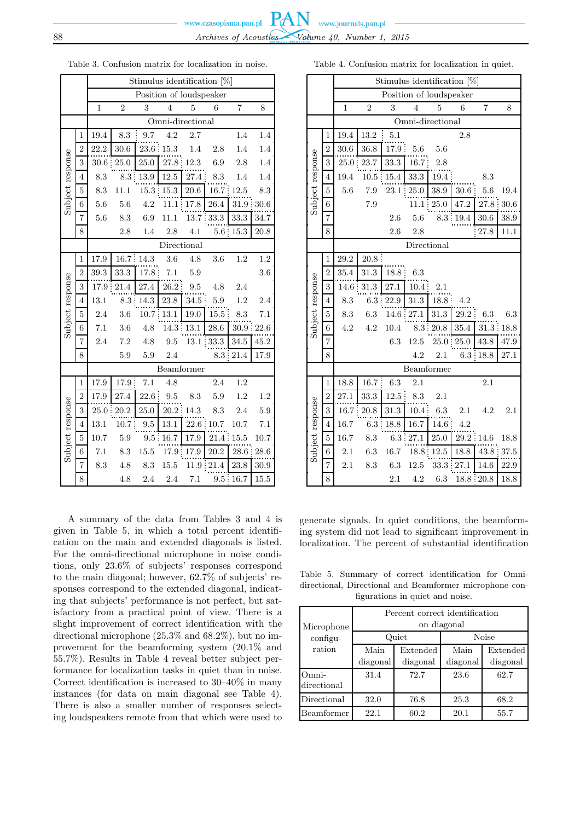| Table 3. Confusion matrix for localization in noise. |
|------------------------------------------------------|
|------------------------------------------------------|

|                  |                | Stimulus identification [%] |                         |          |                  |             |                 |           |                 |
|------------------|----------------|-----------------------------|-------------------------|----------|------------------|-------------|-----------------|-----------|-----------------|
|                  |                |                             | Position of loudspeaker |          |                  |             |                 |           |                 |
|                  |                | $\mathbf{1}$                | $\overline{2}$          | 3        | $\overline{4}$   | 5           | 6               | 7         | 8               |
|                  |                |                             |                         |          | Omni-directional |             |                 |           |                 |
|                  | $\mathbf{1}$   | 19.4                        | 8.3                     | $9.7\,$  | 4.2              | 2.7         |                 | 1.4       | 1.4             |
|                  | $\overline{2}$ | 22.2                        | 30.6                    | 23.6:    | 15.3             | 1.4         | 2.8             | 1.4       | 1.4             |
|                  | 3              | 30.6:                       | 25.0                    | 25.0     | 27.8             | 12.3        | 6.9             | 2.8       | 1.4             |
| Subject response | $\overline{4}$ | 8.3                         | 8.3:                    | 13.9     | 12.5             | 27.4        | $\!\!\!\!\!8.3$ | 1.4       | 1.4             |
|                  | 5              | 8.3                         | 11.1                    | 15.3     | 15.3             | $20.6\,$    | 16.7:           | 12.5      | $\!\!\!\!\!8.3$ |
|                  | 6              | 5.6                         | 5.6                     | 4.2      |                  | 11.1 : 17.8 | 26.4            | 31.9      | 30.6            |
|                  | $\overline{7}$ | 5.6                         | $\!\!\!\!\!8.3$         | 6.9      | 11.1             | 13.7        | $33.3\,$        | $33.3\,$  | 34.7            |
|                  | 8              |                             | 2.8                     | 1.4      | 2.8              | 4.1         |                 | 5.6:15.3  | 20.8            |
|                  |                |                             |                         |          | Directional      |             |                 |           |                 |
|                  | 1              | 17.9                        | 16.7                    | 14.3     | 3.6              | 4.8         | 3.6             | 1.2       | 1.2             |
|                  | $\overline{2}$ | 39.3                        | 33.3                    | 17.8     | $7.1\,$          | 5.9         |                 |           | 3.6             |
|                  | 3              | 17.9                        | 21.4                    | 27.4     | 26.2:            | 9.5         | 4.8             | 2.4       |                 |
|                  | $\overline{4}$ | 13.1                        | 8.3:                    | 14.3     | $23.8\,$         | $34.5\,$    | $5.9\,$         | $1.2\,$   | 2.4             |
| Subject response | 5              | 2.4                         | 3.6                     | 10.7     | 13.1             | 19.0        | 15.5:           | 8.3       | 7.1             |
|                  | 6              | 7.1                         | 3.6                     | 4.8      | 14.3             | $13.1\,$    | 28.6            | $30.9\,$  | 22.6            |
|                  | $\overline{7}$ | 2.4                         | 7.2                     | 4.8      | 9.5              | 13.1        | 33.3            | 34.5      | 45.2            |
|                  | 8              |                             | 5.9                     | 5.9      | 2.4              |             |                 | 8.3:21.4  | 17.9            |
|                  |                |                             |                         |          | Beamformer       |             |                 |           |                 |
|                  | $\mathbf 1$    | 17.9                        | 17.9                    | 7.1      | 4.8              |             | 2.4             | 1.2       |                 |
|                  | $\overline{2}$ | 17.9                        | 27.4                    | 22.6     | 9.5              | 8.3         | $5.9\,$         | 1.2       | 1.2             |
|                  | 3              | 25.0:                       | 20.2                    | 25.0     | 20.2:            | 14.3        | $\!\!\!\!\!8.3$ | 2.4       | 5.9             |
|                  | 4              | 13.1                        | 10.7                    | $\,9.5$  | 13.1             | 22.6        | 10.7            | 10.7      | 7.1             |
|                  | 5              | 10.7                        | 5.9                     | 9.5      | $16.7\,$         | 17.9        | 21.4:           | 15.5      | 10.7            |
| Subject response | 6              | 7.1                         | 8.3                     | $15.5\,$ | 17.9             | 17.9        | 20.2            | 28.6      | 28.6            |
|                  | $\overline{7}$ | 8.3                         | 4.8                     | 8.3      | 15.5             | 11.9:       | 21.4            | $23.8\,$  | 30.9            |
|                  | 8              |                             | 4.8                     | 2.4      | 2.4              | 7.1         | 9.5             | 16.7<br>Ξ | 15.5            |

A summary of the data from Tables 3 and 4 is given in Table 5, in which a total percent identification on the main and extended diagonals is listed. For the omni-directional microphone in noise conditions, only 23.6% of subjects' responses correspond to the main diagonal; however, 62.7% of subjects' responses correspond to the extended diagonal, indicating that subjects' performance is not perfect, but satisfactory from a practical point of view. There is a slight improvement of correct identification with the directional microphone (25.3% and 68.2%), but no improvement for the beamforming system (20.1% and 55.7%). Results in Table 4 reveal better subject performance for localization tasks in quiet than in noise. Correct identification is increased to 30–40% in many instances (for data on main diagonal see Table 4). There is also a smaller number of responses selecting loudspeakers remote from that which were used to

Table 4. Confusion matrix for localization in quiet.

|                  |                | Stimulus identification [%] |                |          |                  |                  |                  |         |      |
|------------------|----------------|-----------------------------|----------------|----------|------------------|------------------|------------------|---------|------|
|                  |                | Position of loudspeaker     |                |          |                  |                  |                  |         |      |
|                  |                | $\mathbf{1}$                | $\overline{2}$ | 3        | $\overline{4}$   | $\overline{5}$   | 6                | 7       | 8    |
|                  |                |                             |                |          | Omni-directional |                  |                  |         |      |
|                  | 1              | 19.4                        | 13.2           | 5.1      |                  |                  | 2.8              |         |      |
|                  | $\overline{2}$ | 30.6                        | 36.8           | 17.9     | 5.6              | 5.6              |                  |         |      |
|                  | 3              | 25.0                        | 23.7           | 33.3     | 16.7:            | 2.8              |                  |         |      |
| Subject response | $\overline{4}$ | 19.4                        | $10.5\,$       | 15.4     | 33.3             | 19.4             |                  | 8.3     |      |
|                  | 5              | 5.6                         | 7.9            | $23.1\,$ | <b>25.0</b>      | 38.9             | 30.6             | 5.6     | 19.4 |
|                  | 6              |                             | 7.9            |          |                  | $11.1 \div 25.0$ | 47.2             | 27.8    | 30.6 |
|                  | $\overline{7}$ |                             |                | 2.6      | 5.6              | 8.3              | 19.4             | 30.6    | 38.9 |
|                  | 8              |                             |                | 2.6      | 2.8              |                  |                  | 27.8    | 11.1 |
|                  |                |                             |                |          | Directional      |                  |                  |         |      |
|                  | 1              | 29.2                        | 20.8           |          |                  |                  |                  |         |      |
|                  | $\overline{2}$ | 35.4                        | 31.3           | 18.8     | 6.3              |                  |                  |         |      |
|                  | 3              | 14.6                        | $31.3\,$       | 27.1     | 10.4:            | 2.1              |                  |         |      |
|                  | $\overline{4}$ | 8.3                         | 6.3            | $22.9\,$ | 31.3             | 18.8             | 4.2              |         |      |
|                  | $\overline{5}$ | 8.3                         | $6.3\,$        |          | 14.6 27.1        | $31.3\,$         | 29.2             | $6.3\,$ | 6.3  |
| Subject response | 6              | 4.2                         | 4.2            | 10.4     |                  | $8.3 \div 20.8$  | 35.4             | 31.3    | 18.8 |
|                  | $\overline{7}$ |                             |                | 6.3      | 12.5             |                  | $25.0 \div 25.0$ | 43.8    | 47.9 |
|                  | 8              |                             |                |          | 4.2              | 2.1              | 6.3              | 18.8    | 27.1 |
|                  |                |                             |                |          | Beamformer       |                  |                  |         |      |
|                  | 1              | 18.8                        | 16.7           | 6.3      | 2.1              |                  |                  | 2.1     |      |
|                  | $\overline{2}$ | 27.1                        | 33.3           | 12.5     | 8.3              | 2.1              |                  |         |      |
|                  | 3              | 16.7                        | $20.8\,$       | $31.3\,$ | 10.4             | $6.3\,$          | 2.1              | 4.2     | 2.1  |
|                  | $\overline{4}$ | 16.7                        | 6.3            | 18.8     | $16.7\,$         | 14.6             | 4.2              |         |      |
|                  | 5              | 16.7                        | 8.3            | 6.3      | 27.1             | 25.0             | 29.2             | 14.6    | 18.8 |
| Subject response | 6              | 2.1                         | 6.3            | 16.7     | 18.8             | $12.5\,$         | 18.8             | 43.8    | 37.5 |
|                  | $\overline{7}$ | 2.1                         | 8.3            | 6.3      | 12.5             | 33.3             | 27.1             | 14.6    | 22.9 |
|                  | 8              |                             |                | 2.1      | 4.2              | $6.3\,$          | 18.8             | 20.8    | 18.8 |

generate signals. In quiet conditions, the beamforming system did not lead to significant improvement in localization. The percent of substantial identification

Table 5. Summary of correct identification for Omnidirectional, Directional and Beamformer microphone configurations in quiet and noise.

| Microphone           | Percent correct identification<br>on diagonal |                      |                  |                      |  |  |  |
|----------------------|-----------------------------------------------|----------------------|------------------|----------------------|--|--|--|
| configu-             |                                               | Quiet                | <b>Noise</b>     |                      |  |  |  |
| ration               | Main<br>diagonal                              | Extended<br>diagonal | Main<br>diagonal | Extended<br>diagonal |  |  |  |
| Omni-<br>directional | 31.4                                          | 72.7                 | 23.6             | 62.7                 |  |  |  |
| Directional          | 32.0                                          | 76.8                 | 25.3             | 68.2                 |  |  |  |
| Beamformer           | 22.1                                          | 60.2                 | 20.1             | 55.7                 |  |  |  |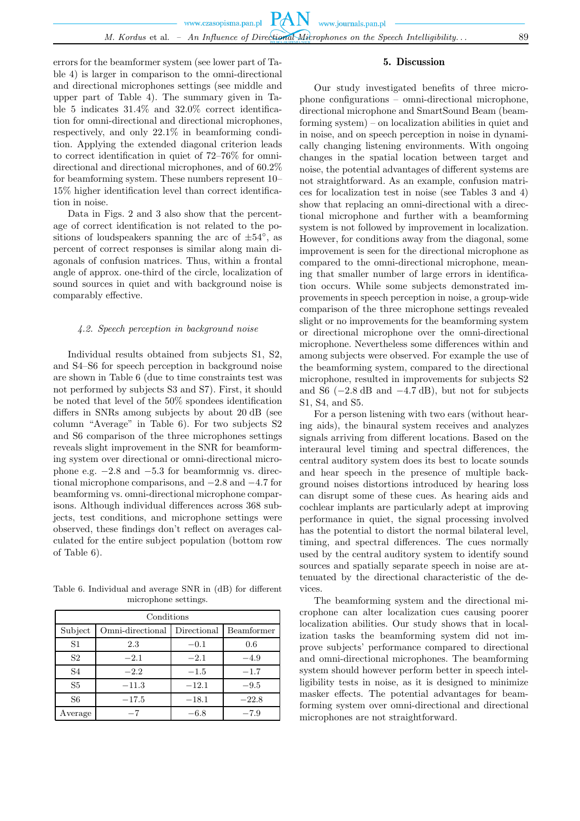errors for the beamformer system (see lower part of Table 4) is larger in comparison to the omni-directional and directional microphones settings (see middle and upper part of Table 4). The summary given in Table 5 indicates 31.4% and 32.0% correct identification for omni-directional and directional microphones, respectively, and only 22.1% in beamforming condition. Applying the extended diagonal criterion leads to correct identification in quiet of 72–76% for omnidirectional and directional microphones, and of 60.2% for beamforming system. These numbers represent 10– 15% higher identification level than correct identification in noise.

Data in Figs. 2 and 3 also show that the percentage of correct identification is not related to the positions of loudspeakers spanning the arc of  $\pm 54^\circ$ , as percent of correct responses is similar along main diagonals of confusion matrices. Thus, within a frontal angle of approx. one-third of the circle, localization of sound sources in quiet and with background noise is comparably effective.

#### *4.2. Speech perception in background noise*

Individual results obtained from subjects S1, S2, and S4–S6 for speech perception in background noise are shown in Table 6 (due to time constraints test was not performed by subjects S3 and S7). First, it should be noted that level of the 50% spondees identification differs in SNRs among subjects by about 20 dB (see column "Average" in Table 6). For two subjects S2 and S6 comparison of the three microphones settings reveals slight improvement in the SNR for beamforming system over directional or omni-directional microphone e.g.  $-2.8$  and  $-5.3$  for beamformnig vs. directional microphone comparisons, and −2.8 and −4.7 for beamforming vs. omni-directional microphone comparisons. Although individual differences across 368 subjects, test conditions, and microphone settings were observed, these findings don't reflect on averages calculated for the entire subject population (bottom row of Table 6).

Table 6. Individual and average SNR in (dB) for different microphone settings.

| Conditions     |                  |             |            |  |  |  |
|----------------|------------------|-------------|------------|--|--|--|
| Subject        | Omni-directional | Directional | Beamformer |  |  |  |
| S1             | 2.3              | $-0.1$      | 0.6        |  |  |  |
| S <sub>2</sub> | $-2.1$           | $-2.1$      | $-4.9$     |  |  |  |
| S4             | $-2.2$           | $-1.5$      | $-1.7$     |  |  |  |
| S <sub>5</sub> | $-11.3$          | $-12.1$     | $-9.5$     |  |  |  |
| S6             | $-17.5$          | $-18.1$     | $-22.8$    |  |  |  |
| Average        | $-7$             | $-6.8$      | $-7.9$     |  |  |  |

## 5. Discussion

Our study investigated benefits of three microphone configurations – omni-directional microphone, directional microphone and SmartSound Beam (beamforming system) – on localization abilities in quiet and in noise, and on speech perception in noise in dynamically changing listening environments. With ongoing changes in the spatial location between target and noise, the potential advantages of different systems are not straightforward. As an example, confusion matrices for localization test in noise (see Tables 3 and 4) show that replacing an omni-directional with a directional microphone and further with a beamforming system is not followed by improvement in localization. However, for conditions away from the diagonal, some improvement is seen for the directional microphone as compared to the omni-directional microphone, meaning that smaller number of large errors in identification occurs. While some subjects demonstrated improvements in speech perception in noise, a group-wide comparison of the three microphone settings revealed slight or no improvements for the beamforming system or directional microphone over the omni-directional microphone. Nevertheless some differences within and among subjects were observed. For example the use of the beamforming system, compared to the directional microphone, resulted in improvements for subjects S2 and S6  $(-2.8 \text{ dB} \text{ and } -4.7 \text{ dB})$ , but not for subjects S1, S4, and S5.

For a person listening with two ears (without hearing aids), the binaural system receives and analyzes signals arriving from different locations. Based on the interaural level timing and spectral differences, the central auditory system does its best to locate sounds and hear speech in the presence of multiple background noises distortions introduced by hearing loss can disrupt some of these cues. As hearing aids and cochlear implants are particularly adept at improving performance in quiet, the signal processing involved has the potential to distort the normal bilateral level, timing, and spectral differences. The cues normally used by the central auditory system to identify sound sources and spatially separate speech in noise are attenuated by the directional characteristic of the devices.

The beamforming system and the directional microphone can alter localization cues causing poorer localization abilities. Our study shows that in localization tasks the beamforming system did not improve subjects' performance compared to directional and omni-directional microphones. The beamforming system should however perform better in speech intelligibility tests in noise, as it is designed to minimize masker effects. The potential advantages for beamforming system over omni-directional and directional microphones are not straightforward.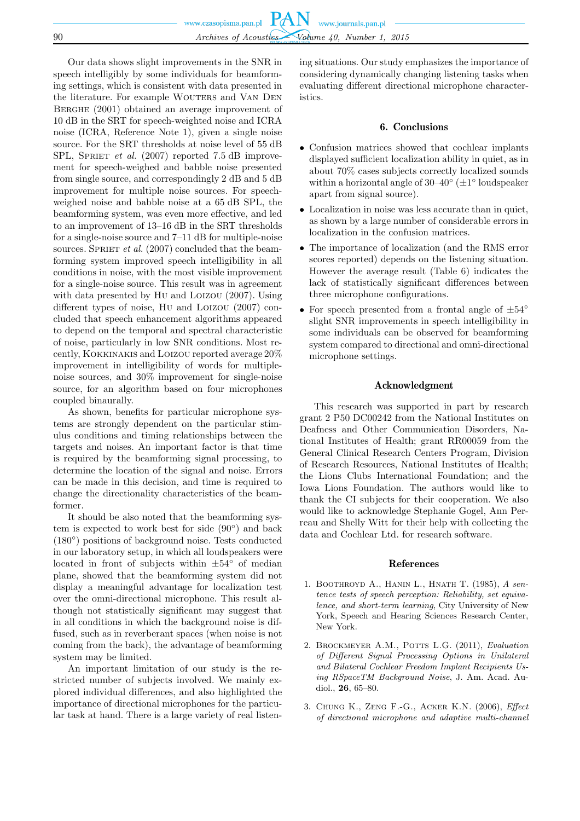|    | www.czasopisma.pan.pl $PAN$ www.journals.pan.pl |  |
|----|-------------------------------------------------|--|
|    |                                                 |  |
| 90 | Archives of Acoustics Volume 40, Number 1, 2015 |  |

Our data shows slight improvements in the SNR in speech intelligibly by some individuals for beamforming settings, which is consistent with data presented in the literature. For example WOUTERS and VAN DEN BERGHE (2001) obtained an average improvement of 10 dB in the SRT for speech-weighted noise and ICRA noise (ICRA, Reference Note 1), given a single noise source. For the SRT thresholds at noise level of 55 dB SPL, SPRIET *et al.* (2007) reported 7.5 dB improvement for speech-weighed and babble noise presented from single source, and correspondingly 2 dB and 5 dB improvement for multiple noise sources. For speechweighed noise and babble noise at a 65 dB SPL, the beamforming system, was even more effective, and led to an improvement of 13–16 dB in the SRT thresholds for a single-noise source and 7–11 dB for multiple-noise sources. SPRIET *et al.* (2007) concluded that the beamforming system improved speech intelligibility in all conditions in noise, with the most visible improvement for a single-noise source. This result was in agreement with data presented by H<sub>U</sub> and LO<sub>IZOU</sub> (2007). Using different types of noise, Hu and Loizou (2007) concluded that speech enhancement algorithms appeared to depend on the temporal and spectral characteristic of noise, particularly in low SNR conditions. Most recently, Kokkinakis and Loizou reported average 20% improvement in intelligibility of words for multiplenoise sources, and 30% improvement for single-noise source, for an algorithm based on four microphones coupled binaurally.

As shown, benefits for particular microphone systems are strongly dependent on the particular stimulus conditions and timing relationships between the targets and noises. An important factor is that time is required by the beamforming signal processing, to determine the location of the signal and noise. Errors can be made in this decision, and time is required to change the directionality characteristics of the beamformer.

It should be also noted that the beamforming system is expected to work best for side (90◦ ) and back (180◦ ) positions of background noise. Tests conducted in our laboratory setup, in which all loudspeakers were located in front of subjects within  $\pm 54°$  of median plane, showed that the beamforming system did not display a meaningful advantage for localization test over the omni-directional microphone. This result although not statistically significant may suggest that in all conditions in which the background noise is diffused, such as in reverberant spaces (when noise is not coming from the back), the advantage of beamforming system may be limited.

An important limitation of our study is the restricted number of subjects involved. We mainly explored individual differences, and also highlighted the importance of directional microphones for the particular task at hand. There is a large variety of real listen-

ing situations. Our study emphasizes the importance of considering dynamically changing listening tasks when evaluating different directional microphone characteristics.

## 6. Conclusions

- Confusion matrices showed that cochlear implants displayed sufficient localization ability in quiet, as in about 70% cases subjects correctly localized sounds within a horizontal angle of  $30-40^{\circ}$  ( $\pm 1^{\circ}$  loudspeaker apart from signal source).
- Localization in noise was less accurate than in quiet, as shown by a large number of considerable errors in localization in the confusion matrices.
- The importance of localization (and the RMS error scores reported) depends on the listening situation. However the average result (Table 6) indicates the lack of statistically significant differences between three microphone configurations.
- For speech presented from a frontal angle of  $\pm 54^\circ$ slight SNR improvements in speech intelligibility in some individuals can be observed for beamforming system compared to directional and omni-directional microphone settings.

#### Acknowledgment

This research was supported in part by research grant 2 P50 DC00242 from the National Institutes on Deafness and Other Communication Disorders, National Institutes of Health; grant RR00059 from the General Clinical Research Centers Program, Division of Research Resources, National Institutes of Health; the Lions Clubs International Foundation; and the Iowa Lions Foundation. The authors would like to thank the CI subjects for their cooperation. We also would like to acknowledge Stephanie Gogel, Ann Perreau and Shelly Witt for their help with collecting the data and Cochlear Ltd. for research software.

## References

- 1. Boothroyd A., Hanin L., Hnath T. (1985), *A sentence tests of speech perception: Reliability, set equivalence, and short-term learning*, City University of New York, Speech and Hearing Sciences Research Center, New York.
- 2. Brockmeyer A.M., Potts L.G. (2011), *Evaluation of Different Signal Processing Options in Unilateral and Bilateral Cochlear Freedom Implant Recipients Using RSpaceTM Background Noise*, J. Am. Acad. Audiol., **26**, 65–80.
- 3. Chung K., Zeng F.-G., Acker K.N. (2006), *Effect of directional microphone and adaptive multi-channel*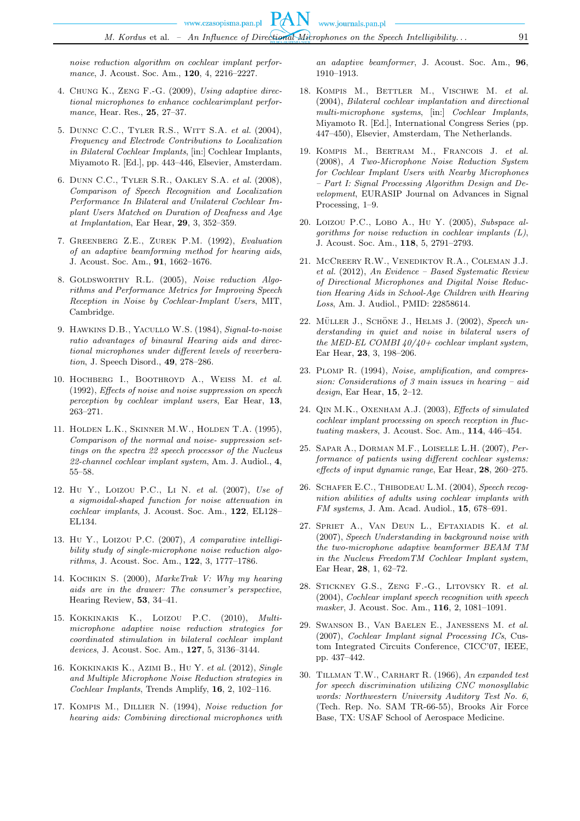*noise reduction algorithm on cochlear implant performance*, J. Acoust. Soc. Am., **120**, 4, 2216–2227.

- 4. Chung K., Zeng F.-G. (2009), *Using adaptive directional microphones to enhance cochlearimplant performance*, Hear. Res., **25**, 27–37.
- 5. Dunnc C.C., Tyler R.S., Witt S.A. *et al.* (2004), *Frequency and Electrode Contributions to Localization in Bilateral Cochlear Implants*, [in:] Cochlear Implants, Miyamoto R. [Ed.], pp. 443–446, Elsevier, Amsterdam.
- 6. Dunn C.C., Tyler S.R., Oakley S.A. *et al.* (2008), *Comparison of Speech Recognition and Localization Performance In Bilateral and Unilateral Cochlear Implant Users Matched on Duration of Deafness and Age at Implantation*, Ear Hear, **29**, 3, 352–359.
- 7. Greenberg Z.E., Zurek P.M. (1992), *Evaluation of an adaptive beamforming method for hearing aids*, J. Acoust. Soc. Am., **91**, 1662–1676.
- 8. GOLDSWORTHY R.L. (2005), *Noise reduction Algorithms and Performance Metrics for Improving Speech Reception in Noise by Cochlear-Implant Users*, MIT, Cambridge.
- 9. Hawkins D.B., Yacullo W.S. (1984), *Signal-to-noise ratio advantages of binaural Hearing aids and directional microphones under different levels of reverberation*, J. Speech Disord., **49**, 278–286.
- 10. Hochberg I., Boothroyd A., Weiss M. *et al.* (1992), *Effects of noise and noise suppression on speech perception by cochlear implant users*, Ear Hear, **13**, 263–271.
- 11. Holden L.K., Skinner M.W., Holden T.A. (1995), *Comparison of the normal and noise- suppression settings on the spectra 22 speech processor of the Nucleus 22-channel cochlear implant system*, Am. J. Audiol., **4**, 55–58.
- 12. Hu Y., Loizou P.C., Li N. *et al.* (2007), *Use of a sigmoidal-shaped function for noise attenuation in cochlear implants*, J. Acoust. Soc. Am., **122**, EL128– EL134.
- 13. Hu Y., Loizou P.C. (2007), *A comparative intelligibility study of single-microphone noise reduction algorithms*, J. Acoust. Soc. Am., **122**, 3, 1777–1786.
- 14. Kochkin S. (2000), *MarkeTrak V: Why my hearing aids are in the drawer: The consumer's perspective*, Hearing Review, **53**, 34–41.
- 15. Kokkinakis K., Loizou P.C. (2010), *Multimicrophone adaptive noise reduction strategies for coordinated stimulation in bilateral cochlear implant devices*, J. Acoust. Soc. Am., **127**, 5, 3136–3144.
- 16. Kokkinakis K., Azimi B., Hu Y. *et al.* (2012), *Single and Multiple Microphone Noise Reduction strategies in Cochlear Implants*, Trends Amplify, **16**, 2, 102–116.
- 17. Kompis M., Dillier N. (1994), *Noise reduction for hearing aids: Combining directional microphones with*

*an adaptive beamformer*, J. Acoust. Soc. Am., **96**, 1910–1913.

- 18. Kompis M., Bettler M., Vischwe M. *et al.* (2004), *Bilateral cochlear implantation and directional multi-microphone systems*, [in:] *Cochlear Implants*, Miyamoto R. [Ed.], International Congress Series (pp. 447–450), Elsevier, Amsterdam, The Netherlands.
- 19. Kompis M., Bertram M., Francois J. *et al.* (2008), *A Two-Microphone Noise Reduction System for Cochlear Implant Users with Nearby Microphones – Part I: Signal Processing Algorithm Design and Development*, EURASIP Journal on Advances in Signal Processing, 1–9.
- 20. Loizou P.C., Lobo A., Hu Y. (2005), *Subspace algorithms for noise reduction in cochlear implants (L)*, J. Acoust. Soc. Am., **118**, 5, 2791–2793.
- 21. McCreery R.W., Venediktov R.A., Coleman J.J. *et al.* (2012), *An Evidence – Based Systematic Review of Directional Microphones and Digital Noise Reduction Hearing Aids in School-Age Children with Hearing Loss*, Am. J. Audiol., PMID: 22858614.
- 22. MÜLLER J., SCHÖNE J., HELMS J. (2002), Speech un*derstanding in quiet and noise in bilateral users of the MED-EL COMBI 40/40+ cochlear implant system*, Ear Hear, **23**, 3, 198–206.
- 23. Plomp R. (1994), *Noise, amplification, and compression: Considerations of 3 main issues in hearing – aid design*, Ear Hear, **15**, 2–12.
- 24. Qin M.K., Oxenham A.J. (2003), *Effects of simulated cochlear implant processing on speech reception in fluctuating maskers*, J. Acoust. Soc. Am., **114**, 446–454.
- 25. Sapar A., Dorman M.F., Loiselle L.H. (2007), *Performance of patients using different cochlear systems: effects of input dynamic range*, Ear Hear, **28**, 260–275.
- 26. Schafer E.C., Thibodeau L.M. (2004), *Speech recognition abilities of adults using cochlear implants with FM systems*, J. Am. Acad. Audiol., **15**, 678–691.
- 27. Spriet A., Van Deun L., Eftaxiadis K. *et al.* (2007), *Speech Understanding in background noise with the two-microphone adaptive beamformer BEAM TM in the Nucleus FreedomTM Cochlear Implant system*, Ear Hear, **28**, 1, 62–72.
- 28. Stickney G.S., Zeng F.-G., Litovsky R. *et al.* (2004), *Cochlear implant speech recognition with speech masker*, J. Acoust. Soc. Am., **116**, 2, 1081–1091.
- 29. Swanson B., Van Baelen E., Janessens M. *et al.* (2007), *Cochlear Implant signal Processing ICs*, Custom Integrated Circuits Conference, CICC'07, IEEE, pp. 437–442.
- 30. Tillman T.W., Carhart R. (1966), *An expanded test for speech discrimination utilizing CNC monosyllabic words: Northwestern University Auditory Test No. 6*, (Tech. Rep. No. SAM TR-66-55), Brooks Air Force Base, TX: USAF School of Aerospace Medicine.